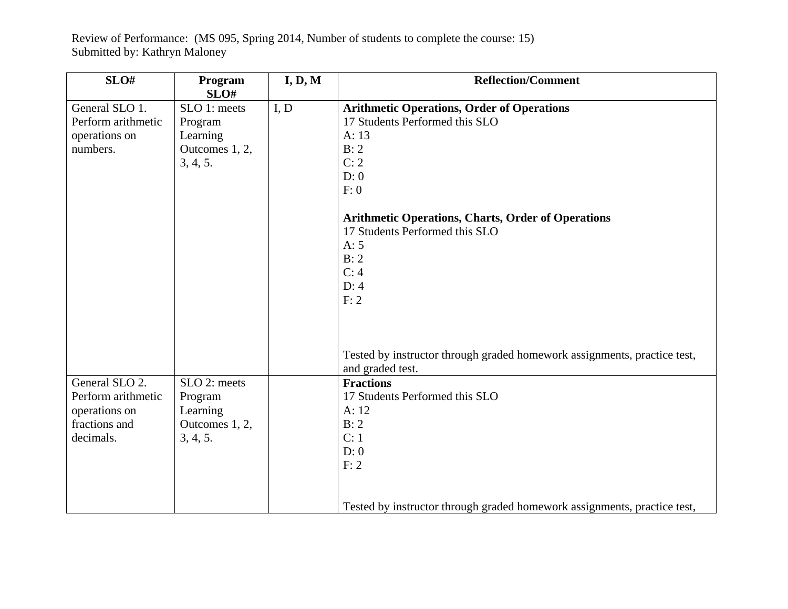Review of Performance: (MS 095, Spring 2014, Number of students to complete the course: 15) Submitted by: Kathryn Maloney

| SLO#               | Program<br>SLO# | I, D, M | <b>Reflection/Comment</b>                                                                    |  |  |
|--------------------|-----------------|---------|----------------------------------------------------------------------------------------------|--|--|
| General SLO 1.     | SLO 1: meets    | I, D    | <b>Arithmetic Operations, Order of Operations</b>                                            |  |  |
| Perform arithmetic | Program         |         | 17 Students Performed this SLO                                                               |  |  |
| operations on      | Learning        |         | A: 13                                                                                        |  |  |
| numbers.           | Outcomes 1, 2,  |         | B: 2                                                                                         |  |  |
|                    | 3, 4, 5.        |         | C: 2                                                                                         |  |  |
|                    |                 |         | D: 0                                                                                         |  |  |
|                    |                 |         | F: 0                                                                                         |  |  |
|                    |                 |         | <b>Arithmetic Operations, Charts, Order of Operations</b>                                    |  |  |
|                    |                 |         | 17 Students Performed this SLO                                                               |  |  |
|                    |                 |         | A:5                                                                                          |  |  |
|                    |                 |         | B: 2                                                                                         |  |  |
|                    |                 |         | C: 4                                                                                         |  |  |
|                    |                 |         | D: 4                                                                                         |  |  |
|                    |                 |         | F: 2                                                                                         |  |  |
|                    |                 |         |                                                                                              |  |  |
|                    |                 |         | Tested by instructor through graded homework assignments, practice test,<br>and graded test. |  |  |
| General SLO 2.     | SLO 2: meets    |         | <b>Fractions</b>                                                                             |  |  |
| Perform arithmetic | Program         |         | 17 Students Performed this SLO                                                               |  |  |
| operations on      | Learning        |         | A: 12                                                                                        |  |  |
| fractions and      | Outcomes 1, 2,  |         | B:2                                                                                          |  |  |
| decimals.          | 3, 4, 5.        |         | C: 1                                                                                         |  |  |
|                    |                 |         | D: 0                                                                                         |  |  |
|                    |                 |         | F: 2                                                                                         |  |  |
|                    |                 |         |                                                                                              |  |  |
|                    |                 |         | Tested by instructor through graded homework assignments, practice test,                     |  |  |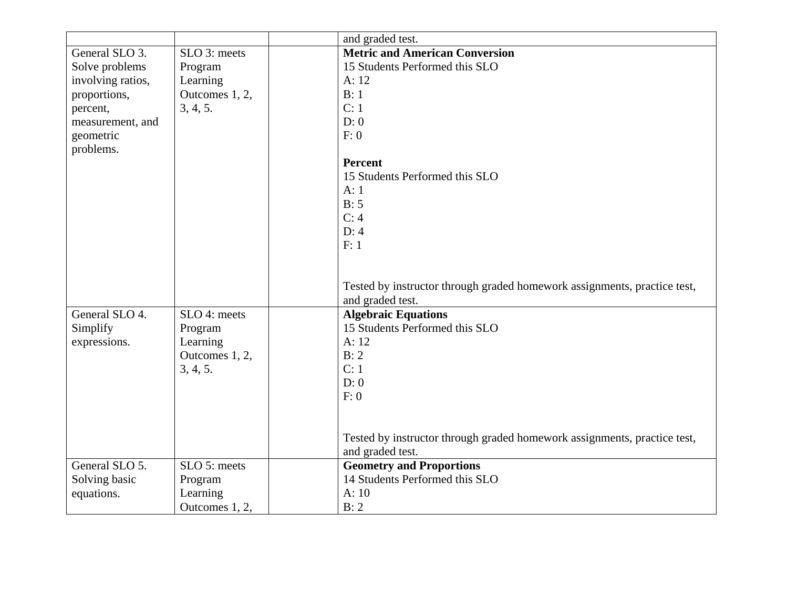|                   |                | and graded test.                                                         |  |  |
|-------------------|----------------|--------------------------------------------------------------------------|--|--|
| General SLO 3.    | SLO 3: meets   | <b>Metric and American Conversion</b>                                    |  |  |
| Solve problems    | Program        | 15 Students Performed this SLO                                           |  |  |
| involving ratios, | Learning       | A: 12                                                                    |  |  |
| proportions,      | Outcomes 1, 2, | B:1                                                                      |  |  |
| percent,          | 3, 4, 5.       | C:1                                                                      |  |  |
| measurement, and  |                | D: 0                                                                     |  |  |
| geometric         |                | F: 0                                                                     |  |  |
| problems.         |                |                                                                          |  |  |
|                   |                | <b>Percent</b>                                                           |  |  |
|                   |                | 15 Students Performed this SLO                                           |  |  |
|                   |                | A:1                                                                      |  |  |
|                   |                | B: 5                                                                     |  |  |
|                   |                | C: 4                                                                     |  |  |
|                   |                | D: 4                                                                     |  |  |
|                   |                | F: 1                                                                     |  |  |
|                   |                |                                                                          |  |  |
|                   |                |                                                                          |  |  |
|                   |                | Tested by instructor through graded homework assignments, practice test, |  |  |
|                   |                | and graded test.                                                         |  |  |
| General SLO 4.    | SLO 4: meets   | <b>Algebraic Equations</b>                                               |  |  |
| Simplify          | Program        | 15 Students Performed this SLO                                           |  |  |
| expressions.      | Learning       | A: 12                                                                    |  |  |
|                   | Outcomes 1, 2, | B: 2                                                                     |  |  |
|                   | 3, 4, 5.       | C: 1                                                                     |  |  |
|                   |                | D: 0                                                                     |  |  |
|                   |                | F: 0                                                                     |  |  |
|                   |                |                                                                          |  |  |
|                   |                |                                                                          |  |  |
|                   |                | Tested by instructor through graded homework assignments, practice test, |  |  |
|                   |                | and graded test.                                                         |  |  |
| General SLO 5.    | SLO 5: meets   | <b>Geometry and Proportions</b>                                          |  |  |
| Solving basic     | Program        | 14 Students Performed this SLO                                           |  |  |
| equations.        | Learning       | A: 10                                                                    |  |  |
|                   | Outcomes 1, 2, | B: 2                                                                     |  |  |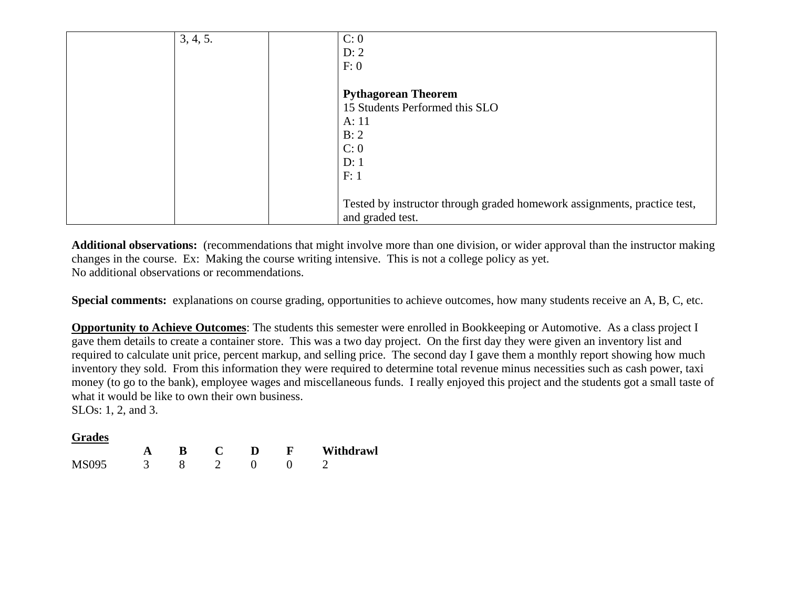| 3, 4, 5. | C: 0                                                                     |
|----------|--------------------------------------------------------------------------|
|          | D: 2                                                                     |
|          | F: 0                                                                     |
|          | <b>Pythagorean Theorem</b>                                               |
|          | 15 Students Performed this SLO                                           |
|          | A: 11                                                                    |
|          | B: 2                                                                     |
|          | C: 0                                                                     |
|          | D:1                                                                      |
|          | F: 1                                                                     |
|          |                                                                          |
|          | Tested by instructor through graded homework assignments, practice test, |
|          | and graded test.                                                         |

**Additional observations:** (recommendations that might involve more than one division, or wider approval than the instructor making changes in the course. Ex: Making the course writing intensive. This is not a college policy as yet. No additional observations or recommendations.

**Special comments:** explanations on course grading, opportunities to achieve outcomes, how many students receive an A, B, C, etc.

**Opportunity to Achieve Outcomes**: The students this semester were enrolled in Bookkeeping or Automotive. As a class project I gave them details to create a container store. This was a two day project. On the first day they were given an inventory list and required to calculate unit price, percent markup, and selling price. The second day I gave them a monthly report showing how much inventory they sold. From this information they were required to determine total revenue minus necessities such as cash power, taxi money (to go to the bank), employee wages and miscellaneous funds. I really enjoyed this project and the students got a small taste of what it would be like to own their own business.

SLOs: 1, 2, and 3.

|              |  |  | Withdrawl |
|--------------|--|--|-----------|
| <b>MS095</b> |  |  |           |